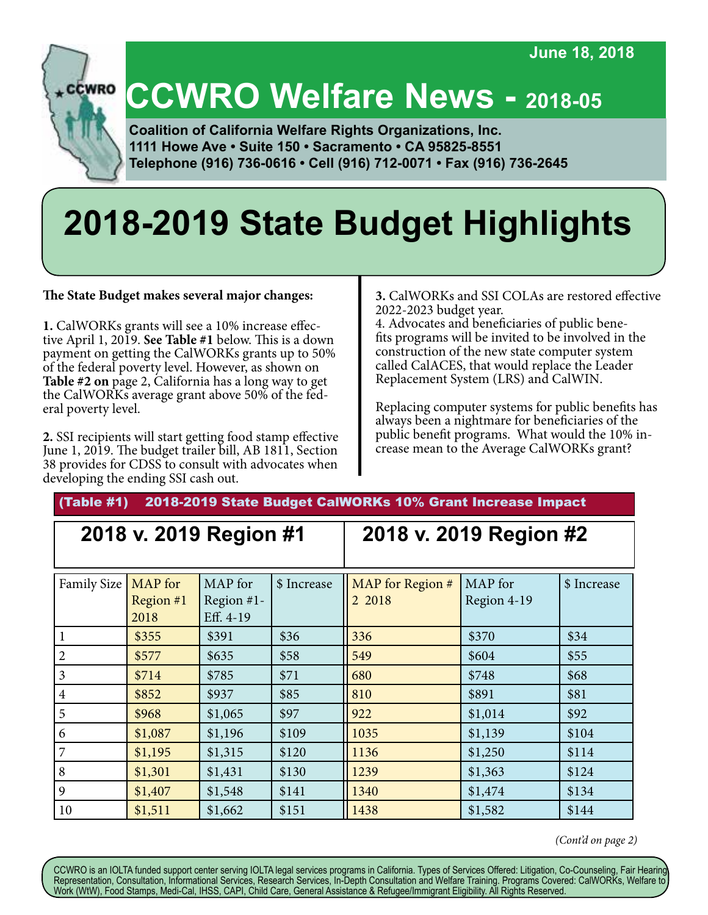**June 18, 2018**



# **CCWRO Welfare News - 2018-05**

 **Coalition of California Welfare Rights Organizations, Inc. 1111 Howe Ave • Suite 150 • Sacramento • CA 95825-8551 Telephone (916) 736-0616 • Cell (916) 712-0071 • Fax (916) 736-2645**

# **2018-2019 State Budget Highlights**

**The State Budget makes several major changes:**

**1.** CalWORKs grants will see a 10% increase effective April 1, 2019. **See Table #1** below. This is a down payment on getting the CalWORKs grants up to 50% of the federal poverty level. However, as shown on **Table #2 on** page 2, California has a long way to get the CalWORKs average grant above 50% of the federal poverty level.

**2.** SSI recipients will start getting food stamp effective June 1, 2019. The budget trailer bill, AB 1811, Section 38 provides for CDSS to consult with advocates when developing the ending SSI cash out.

**3.** CalWORKs and SSI COLAs are restored effective 2022-2023 budget year.

4. Advocates and beneficiaries of public benefits programs will be invited to be involved in the construction of the new state computer system called CalACES, that would replace the Leader Replacement System (LRS) and CalWIN.

Replacing computer systems for public benefits has always been a nightmare for beneficiaries of the public benefit programs. What would the 10% increase mean to the Average CalWORKs grant?

#### (Table #1) 2018-2019 State Budget CalWORKs 10% Grant Increase Impact

#### **2018 v. 2019 Region #1 2018 v. 2019 Region #2** Family Size | MAP for Region #1 2018 MAP for Region #1- Eff. 4-19  $\frac{1}{2}$  Increase  $\frac{1}{2}$  MAP for Region # 2 2018 MAP for Region 4-19 \$ Increase 1 \$355 \$391 \$36 336 \$370 \$34 2 **\$577 \$635 \$58 \$549 \$604** \$55 3 \$714 \$785 \$71 680 \$748 \$68 4 \$852 \$937 \$85 810 \$891 \$81 5 **\$968** \$1,065 \$97 \$922 \$1,014 \$92 6 **\$1,087** \$1,196 \$109 **1035** \$1,139 \$104 7 **\$1,195** \$1,315 \$120 **1136** \$1,250 \$114 8 **\$1,301** \$1,431 \$130 **1239** \$1,363 \$124 9 \$1,407 \$1,548 \$141 1340 \$1,474 \$134 10 \$1,511 \$1,662 \$151 1438 \$1,582 \$144

 *(Cont'd on page 2)*

CCWRO is an IOLTA funded support center serving IOLTA legal services programs in California. Types of Services Offered: Litigation, Co-Counseling, Fair Hearing, Representation, Consultation, Informational Services, Research Services, In-Depth Consultation and Welfare Training. Programs Covered: CalWORKs, Welfare to Work (WtW), Food Stamps, Medi-Cal, IHSS, CAPI, Child Care, General Assistance & Refugee/Immigrant Eligibility. All Rights Reserved.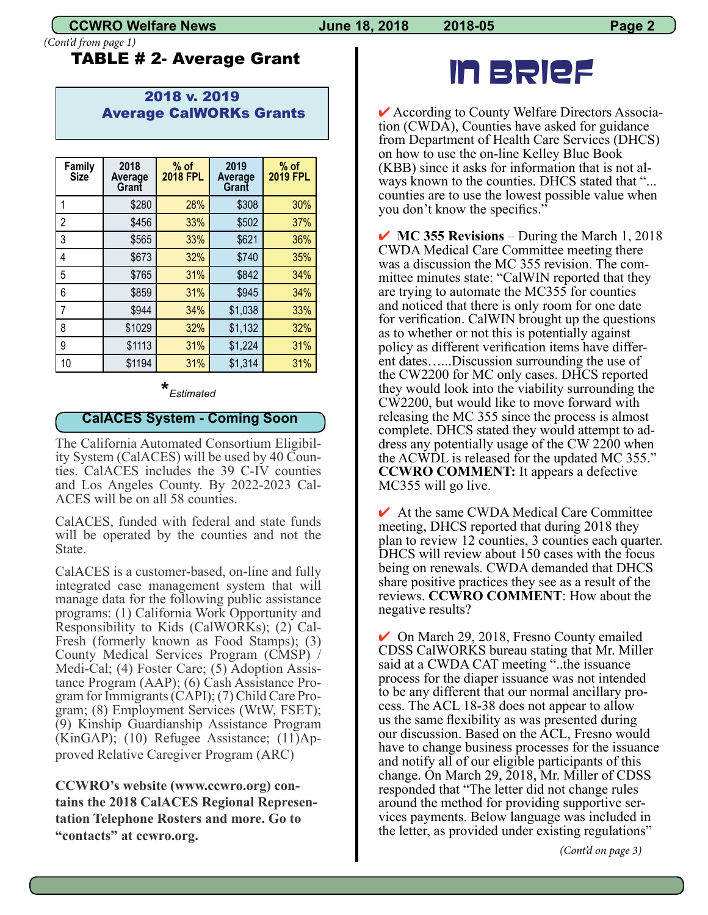*(Cont'd from page 1)*

#### TABLE # 2- Average Grant

#### 2018 v. 2019 Average CalWORKs Grants

| Family<br><b>Size</b> | 2018<br>Average<br>Grant | $%$ of<br><b>2018 FPL</b> | 2019<br>Average<br>Grant | $%$ of<br><b>2019 FPL</b> |
|-----------------------|--------------------------|---------------------------|--------------------------|---------------------------|
|                       | \$280                    | 28%                       | \$308                    | 30%                       |
| 2                     | \$456                    | 33%                       | \$502                    | 37%                       |
| 3                     | \$565                    | 33%                       | \$621                    | 36%                       |
| 4                     | \$673                    | 32%                       | \$740                    | 35%                       |
| 5                     | \$765                    | 31%                       | \$842                    | 34%                       |
| 6                     | \$859                    | 31%                       | \$945                    | 34%                       |
| 7                     | \$944                    | 34%                       | \$1,038                  | 33%                       |
| 8                     | \$1029                   | 32%                       | \$1,132                  | 32%                       |
| 9                     | \$1113                   | 31%                       | \$1,224                  | 31%                       |
| 10                    | \$1194                   | 31%                       | \$1,314                  | 31%                       |

### **\*** *[Estimated](https://thefinancebuff.com/federal-poverty-levels-for-obamacare.html)*

#### **CalACES System - Coming Soon**

The California Automated Consortium Eligibility System (CalACES) will be used by 40 Counties. CalACES includes the 39 C-IV counties and Los Angeles County. By 2022-2023 Cal- ACES will be on all 58 counties.

CalACES, funded with federal and state funds will be operated by the counties and not the State.

CalACES is a customer-based, on-line and fully integrated case management system that will manage data for the following public assistance programs: (1) California Work Opportunity and Responsibility to Kids (CalWORKs); (2) Cal- Fresh (formerly known as Food Stamps); (3) County Medical Services Program (CMSP) / Medi-Cal; (4) Foster Care; (5) Adoption Assistance Program (AAP); (6) Cash Assistance Program for Immigrants (CAPI); (7) Child Care Program; (8) Employment Services (WtW, FSET); (9) Kinship Guardianship Assistance Program (KinGAP); (10) Refugee Assistance; (11)Approved Relative Caregiver Program (ARC)

**CCWRO's website (www.ccwro.org) contains the 2018 CalACES Regional Representation Telephone Rosters and more. Go to "contacts" at ccwro.org.**

## IN BRIEF

 $\triangleright$  According to County Welfare Directors Association (CWDA), Counties have asked for guidance from Department of Health Care Services (DHCS) on how to use the on-line Kelley Blue Book (KBB) since it asks for information that is not always known to the counties. DHCS stated that "... counties are to use the lowest possible value when you don't know the specifics."

**► MC 355 Revisions** – During the March 1, 2018 CWDA Medical Care Committee meeting there was a discussion the MC 355 revision. The com-<br>mittee minutes state: "CalWIN reported that they are trying to automate the MC355 for counties and noticed that there is only room for one date for verification. CalWIN brought up the questions as to whether or not this is potentially against policy as different verification items have differ- ent dates…...Discussion surrounding the use of the CW2200 for MC only cases. DHCS reported they would look into the viability surrounding the CW2200, but would like to move forward with releasing the MC 355 since the process is almost complete. DHCS stated they would attempt to ad- dress any potentially usage of the CW 2200 when the ACWDL is released for the updated MC 355." **CCWRO COMMENT:** It appears a defective MC355 will go live.

 $\vee$  At the same CWDA Medical Care Committee meeting, DHCS reported that during 2018 they plan to review 12 counties, 3 counties each quarter. DHCS will review about 150 cases with the focus being on renewals. CWDA demanded that DHCS share positive practices they see as a result of the reviews. **CCWRO COMMENT**: How about the negative results?

 $\vee$  On March 29, 2018, Fresno County emailed CDSS CalWORKS bureau stating that Mr. Miller said at a CWDA CAT meeting "..the issuance process for the diaper issuance was not intended to be any different that our normal ancillary process. The ACL 18-38 does not appear to allow us the same flexibility as was presented during our discussion. Based on the ACL, Fresno would have to change business processes for the issuance and notify all of our eligible participants of this change. On March 29, 2018, Mr. Miller of CDSS responded that "The letter did not change rules around the method for providing supportive ser- vices payments. Below language was included in the letter, as provided under existing regulations"

 *(Cont'd on page 3)*